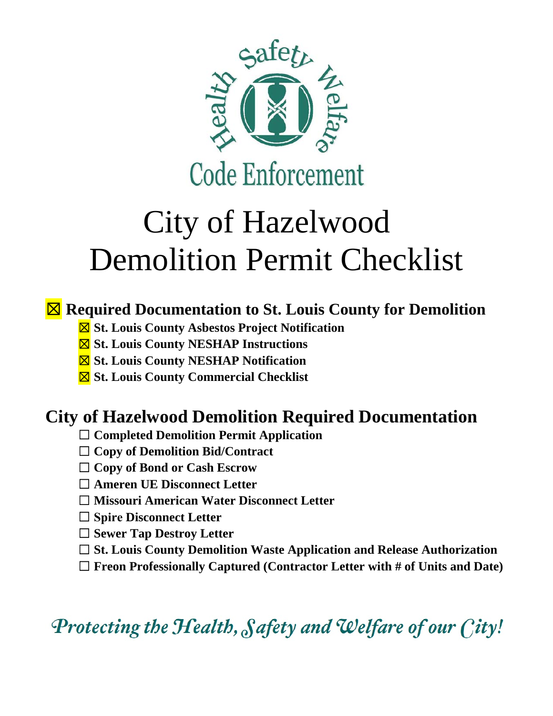

# City of Hazelwood Demolition Permit Checklist

#### ☒ **Required Documentation to St. Louis County for Demolition**

- ☒ **St. Louis County Asbestos Project Notification**
- ☒ **St. Louis County NESHAP Instructions**
- ☒ **St. Louis County NESHAP Notification**
- ☒ **St. Louis County Commercial Checklist**

### **City of Hazelwood Demolition Required Documentation**

- ☐ **Completed Demolition Permit Application**
- ☐ **Copy of Demolition Bid/Contract**
- ☐ **Copy of Bond or Cash Escrow**
- ☐ **Ameren UE Disconnect Letter**
- ☐ **Missouri American Water Disconnect Letter**
- ☐ **Spire Disconnect Letter**
- ☐ **Sewer Tap Destroy Letter**
- ☐ **St. Louis County Demolition Waste Application and Release Authorization**
- ☐ **Freon Professionally Captured (Contractor Letter with # of Units and Date)**

Protecting the Health, Safety and Welfare of our City!